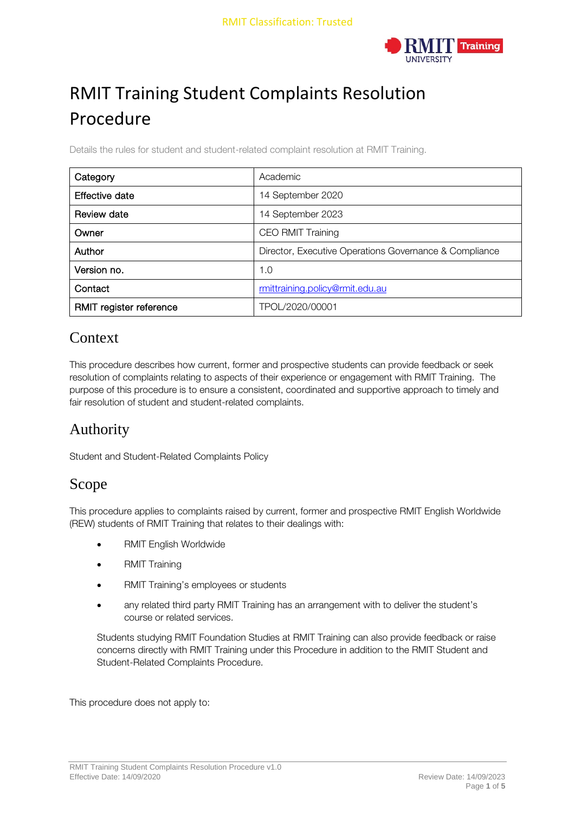

# RMIT Training Student Complaints Resolution Procedure

Details the rules for student and student-related complaint resolution at RMIT Training.

| Category                | Academic                                               |  |  |
|-------------------------|--------------------------------------------------------|--|--|
| Effective date          | 14 September 2020                                      |  |  |
| Review date             | 14 September 2023                                      |  |  |
| Owner                   | <b>CEO RMIT Training</b>                               |  |  |
| Author                  | Director, Executive Operations Governance & Compliance |  |  |
| Version no.             | 1.0                                                    |  |  |
| Contact                 | rmittraining.policy@rmit.edu.au                        |  |  |
| RMIT register reference | TPOL/2020/00001                                        |  |  |

#### **Context**

This procedure describes how current, former and prospective students can provide feedback or seek resolution of complaints relating to aspects of their experience or engagement with RMIT Training. The purpose of this procedure is to ensure a consistent, coordinated and supportive approach to timely and fair resolution of student and student-related complaints.

## Authority

Student and Student-Related Complaints Policy

#### Scope

This procedure applies to complaints raised by current, former and prospective RMIT English Worldwide (REW) students of RMIT Training that relates to their dealings with:

- RMIT English Worldwide
- RMIT Training
- RMIT Training's employees or students
- any related third party RMIT Training has an arrangement with to deliver the student's course or related services.

Students studying RMIT Foundation Studies at RMIT Training can also provide feedback or raise concerns directly with RMIT Training under this Procedure in addition to the RMIT Student and Student-Related Complaints Procedure.

This procedure does not apply to: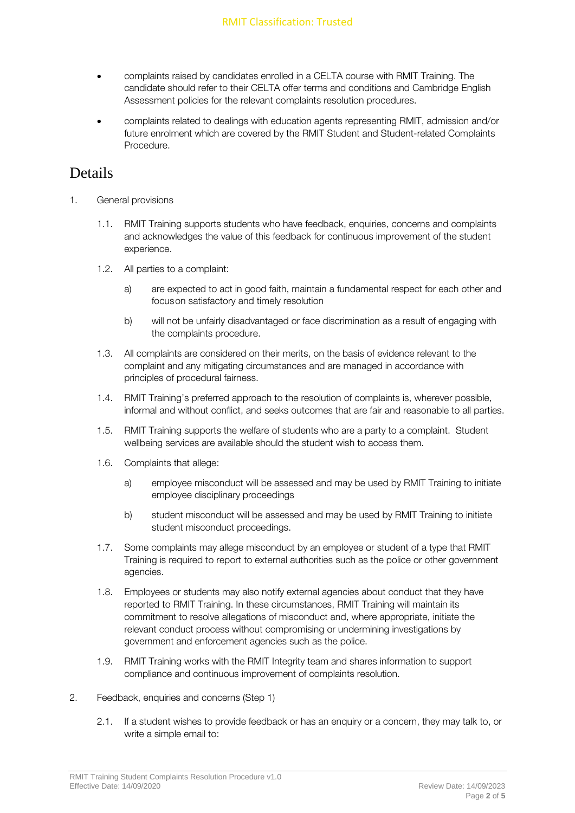- complaints raised by candidates enrolled in a CELTA course with RMIT Training. The candidate should refer to their CELTA offer terms and conditions and Cambridge English Assessment policies for the relevant complaints resolution procedures.
- complaints related to dealings with education agents representing RMIT, admission and/or future enrolment which are covered by the RMIT Student and Student-related Complaints Procedure.

#### Details

- 1. General provisions
	- 1.1. RMIT Training supports students who have feedback, enquiries, concerns and complaints and acknowledges the value of this feedback for continuous improvement of the student experience.
	- 1.2. All parties to a complaint:
		- a) are expected to act in good faith, maintain a fundamental respect for each other and focuson satisfactory and timely resolution
		- b) will not be unfairly disadvantaged or face discrimination as a result of engaging with the complaints procedure.
	- 1.3. All complaints are considered on their merits, on the basis of evidence relevant to the complaint and any mitigating circumstances and are managed in accordance with principles of procedural fairness.
	- 1.4. RMIT Training's preferred approach to the resolution of complaints is, wherever possible, informal and without conflict, and seeks outcomes that are fair and reasonable to all parties.
	- 1.5. RMIT Training supports the welfare of students who are a party to a complaint. Student wellbeing services are available should the student wish to access them.
	- 1.6. Complaints that allege:
		- a) employee misconduct will be assessed and may be used by RMIT Training to initiate employee disciplinary proceedings
		- b) student misconduct will be assessed and may be used by RMIT Training to initiate student misconduct proceedings.
	- 1.7. Some complaints may allege misconduct by an employee or student of a type that RMIT Training is required to report to external authorities such as the police or other government agencies.
	- 1.8. Employees or students may also notify external agencies about conduct that they have reported to RMIT Training. In these circumstances, RMIT Training will maintain its commitment to resolve allegations of misconduct and, where appropriate, initiate the relevant conduct process without compromising or undermining investigations by government and enforcement agencies such as the police.
	- 1.9. RMIT Training works with the RMIT Integrity team and shares information to support compliance and continuous improvement of complaints resolution.
- 2. Feedback, enquiries and concerns (Step 1)
	- 2.1. If a student wishes to provide feedback or has an enquiry or a concern, they may talk to, or write a simple email to: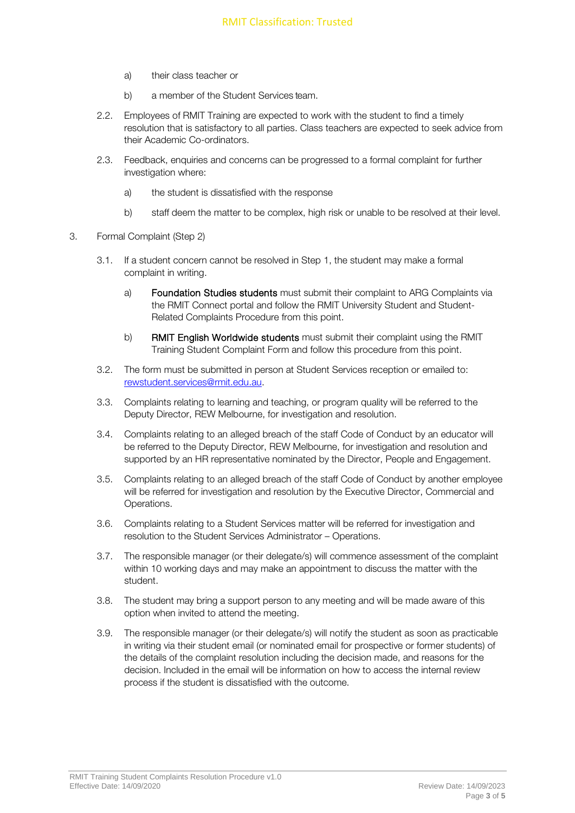- a) their class teacher or
- b) a member of the Student Services team.
- 2.2. Employees of RMIT Training are expected to work with the student to find a timely resolution that is satisfactory to all parties. Class teachers are expected to seek advice from their Academic Co-ordinators.
- 2.3. Feedback, enquiries and concerns can be progressed to a formal complaint for further investigation where:
	- a) the student is dissatisfied with the response
	- b) staff deem the matter to be complex, high risk or unable to be resolved at their level.
- 3. Formal Complaint (Step 2)
	- 3.1. If a student concern cannot be resolved in Step 1, the student may make a formal complaint in writing.
		- a) Foundation Studies students must submit their complaint to ARG Complaints via the RMIT Connect portal and follow the RMIT University Student and Student-Related Complaints Procedure from this point.
		- b) RMIT English Worldwide students must submit their complaint using the RMIT Training Student Complaint Form and follow this procedure from this point.
	- 3.2. The form must be submitted in person at Student Services reception or emailed to: [rewstudent.services@rmit.edu.au.](mailto:rewstudent.services@rmit.edu.au)
	- 3.3. Complaints relating to learning and teaching, or program quality will be referred to the Deputy Director, REW Melbourne, for investigation and resolution.
	- 3.4. Complaints relating to an alleged breach of the staff Code of Conduct by an educator will be referred to the Deputy Director, REW Melbourne, for investigation and resolution and supported by an HR representative nominated by the Director, People and Engagement.
	- 3.5. Complaints relating to an alleged breach of the staff Code of Conduct by another employee will be referred for investigation and resolution by the Executive Director, Commercial and Operations.
	- 3.6. Complaints relating to a Student Services matter will be referred for investigation and resolution to the Student Services Administrator – Operations.
	- 3.7. The responsible manager (or their delegate/s) will commence assessment of the complaint within 10 working days and may make an appointment to discuss the matter with the student.
	- 3.8. The student may bring a support person to any meeting and will be made aware of this option when invited to attend the meeting.
	- 3.9. The responsible manager (or their delegate/s) will notify the student as soon as practicable in writing via their student email (or nominated email for prospective or former students) of the details of the complaint resolution including the decision made, and reasons for the decision. Included in the email will be information on how to access the internal review process if the student is dissatisfied with the outcome.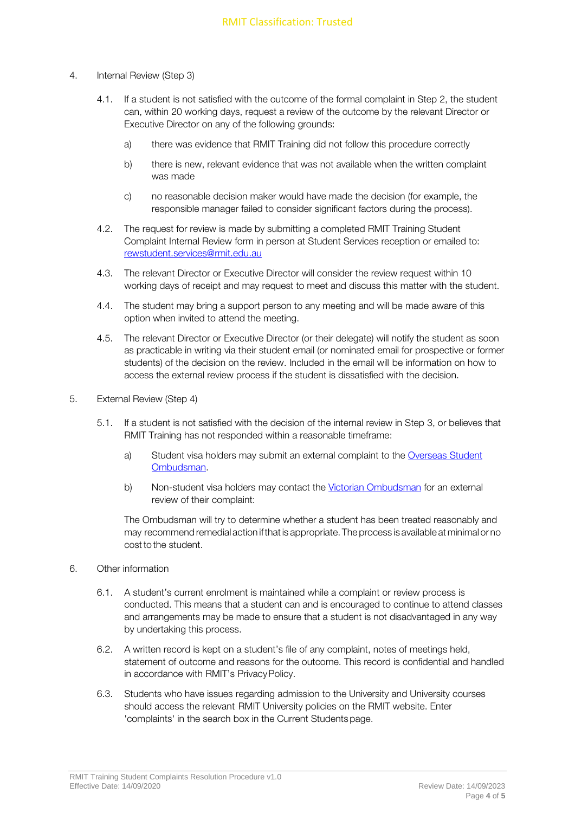- 4. Internal Review (Step 3)
	- 4.1. If a student is not satisfied with the outcome of the formal complaint in Step 2, the student can, within 20 working days, request a review of the outcome by the relevant Director or Executive Director on any of the following grounds:
		- a) there was evidence that RMIT Training did not follow this procedure correctly
		- b) there is new, relevant evidence that was not available when the written complaint was made
		- c) no reasonable decision maker would have made the decision (for example, the responsible manager failed to consider significant factors during the process).
	- 4.2. The request for review is made by submitting a completed RMIT Training Student Complaint Internal Review form in person at Student Services reception or emailed to: [rewstudent.services@rmit.edu.au](mailto:rewstudent.services@rmit.edu.au)
	- 4.3. The relevant Director or Executive Director will consider the review request within 10 working days of receipt and may request to meet and discuss this matter with the student.
	- 4.4. The student may bring a support person to any meeting and will be made aware of this option when invited to attend the meeting.
	- 4.5. The relevant Director or Executive Director (or their delegate) will notify the student as soon as practicable in writing via their student email (or nominated email for prospective or former students) of the decision on the review. Included in the email will be information on how to access the external review process if the student is dissatisfied with the decision.
- 5. External Review (Step 4)
	- 5.1. If a student is not satisfied with the decision of the internal review in Step 3, or believes that RMIT Training has not responded within a reasonable timeframe:
		- a) Student visa holders may submit an external complaint to the [Overseas Student](http://www.ombudsman.gov.au/How-we-can-help/overseas-students) [Ombudsman.](http://www.ombudsman.gov.au/How-we-can-help/overseas-students)
		- b) Non-student visa holders may contact the [Victorian Ombudsman](https://www.ombudsman.vic.gov.au/) for an external review of their complaint:

The Ombudsman will try to determine whether a student has been treated reasonably and may recommend remedial action ifthat is appropriate. The process is available at minimal or no cost to the student.

- 6. Other information
	- 6.1. A student's current enrolment is maintained while a complaint or review process is conducted. This means that a student can and is encouraged to continue to attend classes and arrangements may be made to ensure that a student is not disadvantaged in any way by undertaking this process.
	- 6.2. A written record is kept on a student's file of any complaint, notes of meetings held, statement of outcome and reasons for the outcome. This record is confidential and handled in accordance with RMIT's PrivacyPolicy.
	- 6.3. Students who have issues regarding admission to the University and University courses should access the relevant RMIT University policies on the RMIT website. Enter 'complaints' in the search box in the Current Studentspage.